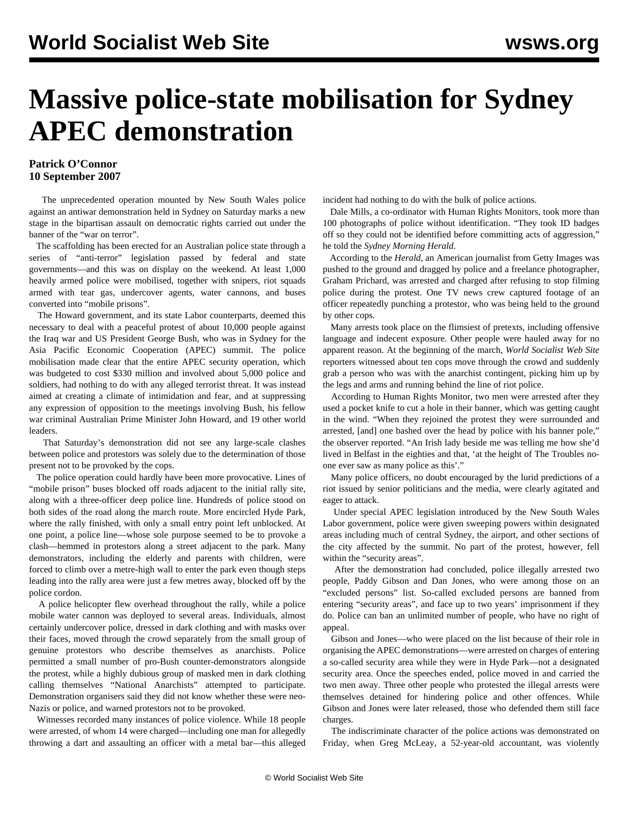## **Massive police-state mobilisation for Sydney APEC demonstration**

## **Patrick O'Connor 10 September 2007**

 The unprecedented operation mounted by New South Wales police against an antiwar demonstration held in Sydney on Saturday marks a new stage in the bipartisan assault on democratic rights carried out under the banner of the "war on terror".

 The scaffolding has been erected for an Australian police state through a series of "anti-terror" legislation passed by federal and state governments—and this was on display on the weekend. At least 1,000 heavily armed police were mobilised, together with snipers, riot squads armed with tear gas, undercover agents, water cannons, and buses converted into "mobile prisons".

 The Howard government, and its state Labor counterparts, deemed this necessary to deal with a peaceful protest of about 10,000 people against the Iraq war and US President George Bush, who was in Sydney for the Asia Pacific Economic Cooperation (APEC) summit. The police mobilisation made clear that the entire APEC security operation, which was budgeted to cost \$330 million and involved about 5,000 police and soldiers, had nothing to do with any alleged terrorist threat. It was instead aimed at creating a climate of intimidation and fear, and at suppressing any expression of opposition to the meetings involving Bush, his fellow war criminal Australian Prime Minister John Howard, and 19 other world leaders.

 That Saturday's demonstration did not see any large-scale clashes between police and protestors was solely due to the determination of those present not to be provoked by the cops.

 The police operation could hardly have been more provocative. Lines of "mobile prison" buses blocked off roads adjacent to the initial rally site, along with a three-officer deep police line. Hundreds of police stood on both sides of the road along the march route. More encircled Hyde Park, where the rally finished, with only a small entry point left unblocked. At one point, a police line—whose sole purpose seemed to be to provoke a clash—hemmed in protestors along a street adjacent to the park. Many demonstrators, including the elderly and parents with children, were forced to climb over a metre-high wall to enter the park even though steps leading into the rally area were just a few metres away, blocked off by the police cordon.

 A police helicopter flew overhead throughout the rally, while a police mobile water cannon was deployed to several areas. Individuals, almost certainly undercover police, dressed in dark clothing and with masks over their faces, moved through the crowd separately from the small group of genuine protestors who describe themselves as anarchists. Police permitted a small number of pro-Bush counter-demonstrators alongside the protest, while a highly dubious group of masked men in dark clothing calling themselves "National Anarchists" attempted to participate. Demonstration organisers said they did not know whether these were neo-Nazis or police, and warned protestors not to be provoked.

 Witnesses recorded many instances of police violence. While 18 people were arrested, of whom 14 were charged—including one man for allegedly throwing a dart and assaulting an officer with a metal bar—this alleged incident had nothing to do with the bulk of police actions.

 Dale Mills, a co-ordinator with Human Rights Monitors, took more than 100 photographs of police without identification. "They took ID badges off so they could not be identified before committing acts of aggression," he told the *Sydney Morning Herald*.

 According to the *Herald*, an American journalist from Getty Images was pushed to the ground and dragged by police and a freelance photographer, Graham Prichard, was arrested and charged after refusing to stop filming police during the protest. One TV news crew captured footage of an officer repeatedly punching a protestor, who was being held to the ground by other cops.

 Many arrests took place on the flimsiest of pretexts, including offensive language and indecent exposure. Other people were hauled away for no apparent reason. At the beginning of the march, *World Socialist Web Site* reporters witnessed about ten cops move through the crowd and suddenly grab a person who was with the anarchist contingent, picking him up by the legs and arms and running behind the line of riot police.

 According to Human Rights Monitor, two men were arrested after they used a pocket knife to cut a hole in their banner, which was getting caught in the wind. "When they rejoined the protest they were surrounded and arrested, [and] one bashed over the head by police with his banner pole," the observer reported. "An Irish lady beside me was telling me how she'd lived in Belfast in the eighties and that, 'at the height of The Troubles noone ever saw as many police as this'."

 Many police officers, no doubt encouraged by the lurid predictions of a riot issued by senior politicians and the media, were clearly agitated and eager to attack.

 Under special APEC legislation introduced by the New South Wales Labor government, police were given sweeping powers within designated areas including much of central Sydney, the airport, and other sections of the city affected by the summit. No part of the protest, however, fell within the "security areas".

 After the demonstration had concluded, police illegally arrested two people, Paddy Gibson and Dan Jones, who were among those on an "excluded persons" list. So-called excluded persons are banned from entering "security areas", and face up to two years' imprisonment if they do. Police can ban an unlimited number of people, who have no right of appeal.

 Gibson and Jones—who were placed on the list because of their role in organising the APEC demonstrations—were arrested on charges of entering a so-called security area while they were in Hyde Park—not a designated security area. Once the speeches ended, police moved in and carried the two men away. Three other people who protested the illegal arrests were themselves detained for hindering police and other offences. While Gibson and Jones were later released, those who defended them still face charges.

 The indiscriminate character of the police actions was demonstrated on Friday, when Greg McLeay, a 52-year-old accountant, was violently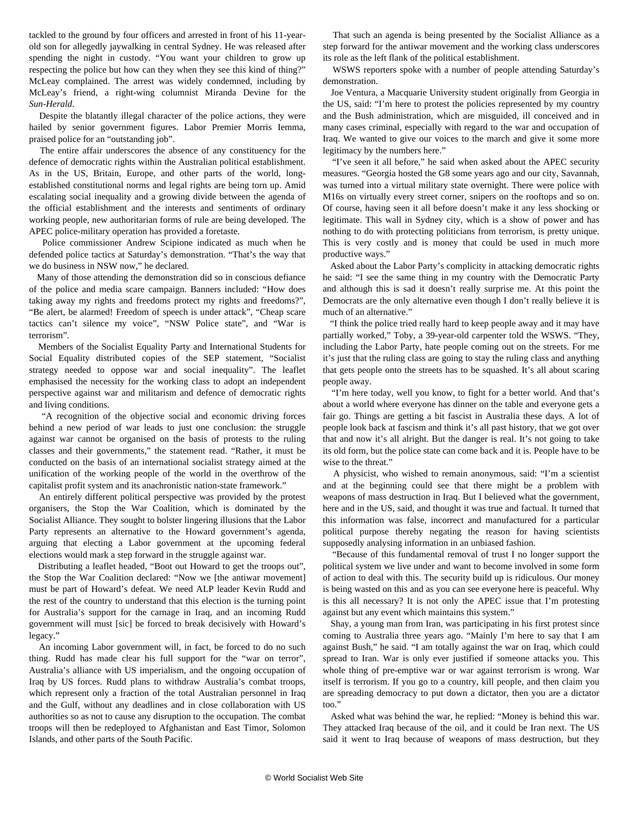tackled to the ground by four officers and arrested in front of his 11-yearold son for allegedly jaywalking in central Sydney. He was released after spending the night in custody. "You want your children to grow up respecting the police but how can they when they see this kind of thing?" McLeay complained. The arrest was widely condemned, including by McLeay's friend, a right-wing columnist Miranda Devine for the *Sun-Herald*.

 Despite the blatantly illegal character of the police actions, they were hailed by senior government figures. Labor Premier Morris Iemma, praised police for an "outstanding job".

 The entire affair underscores the absence of any constituency for the defence of democratic rights within the Australian political establishment. As in the US, Britain, Europe, and other parts of the world, longestablished constitutional norms and legal rights are being torn up. Amid escalating social inequality and a growing divide between the agenda of the official establishment and the interests and sentiments of ordinary working people, new authoritarian forms of rule are being developed. The APEC police-military operation has provided a foretaste.

 Police commissioner Andrew Scipione indicated as much when he defended police tactics at Saturday's demonstration. "That's the way that we do business in NSW now," he declared.

 Many of those attending the demonstration did so in conscious defiance of the police and media scare campaign. Banners included: "How does taking away my rights and freedoms protect my rights and freedoms?", "Be alert, be alarmed! Freedom of speech is under attack", "Cheap scare tactics can't silence my voice", "NSW Police state", and "War is terrorism".

 Members of the Socialist Equality Party and International Students for Social Equality distributed copies of the SEP statement, ["Socialist](apec-s07.shtml) [strategy needed to oppose war and social inequality"](apec-s07.shtml). The leaflet emphasised the necessity for the working class to adopt an independent perspective against war and militarism and defence of democratic rights and living conditions.

 "A recognition of the objective social and economic driving forces behind a new period of war leads to just one conclusion: the struggle against war cannot be organised on the basis of protests to the ruling classes and their governments," the statement read. "Rather, it must be conducted on the basis of an international socialist strategy aimed at the unification of the working people of the world in the overthrow of the capitalist profit system and its anachronistic nation-state framework."

 An entirely different political perspective was provided by the protest organisers, the Stop the War Coalition, which is dominated by the Socialist Alliance. They sought to bolster lingering illusions that the Labor Party represents an alternative to the Howard government's agenda, arguing that electing a Labor government at the upcoming federal elections would mark a step forward in the struggle against war.

 Distributing a leaflet headed, "Boot out Howard to get the troops out", the Stop the War Coalition declared: "Now we [the antiwar movement] must be part of Howard's defeat. We need ALP leader Kevin Rudd and the rest of the country to understand that this election is the turning point for Australia's support for the carnage in Iraq, and an incoming Rudd government will must [sic] be forced to break decisively with Howard's legacy."

 An incoming Labor government will, in fact, be forced to do no such thing. Rudd has made clear his full support for the "war on terror", Australia's alliance with US imperialism, and the ongoing occupation of Iraq by US forces. Rudd plans to withdraw Australia's combat troops, which represent only a fraction of the total Australian personnel in Iraq and the Gulf, without any deadlines and in close collaboration with US authorities so as not to cause any disruption to the occupation. The combat troops will then be redeployed to Afghanistan and East Timor, Solomon Islands, and other parts of the South Pacific.

 That such an agenda is being presented by the Socialist Alliance as a step forward for the antiwar movement and the working class underscores its role as the left flank of the political establishment.

 WSWS reporters spoke with a number of people attending Saturday's demonstration.

 Joe Ventura, a Macquarie University student originally from Georgia in the US, said: "I'm here to protest the policies represented by my country and the Bush administration, which are misguided, ill conceived and in many cases criminal, especially with regard to the war and occupation of Iraq. We wanted to give our voices to the march and give it some more legitimacy by the numbers here."

"I've seen it all before," he said when asked about the APEC security measures. "Georgia hosted the G8 some years ago and our city, Savannah, was turned into a virtual military state overnight. There were police with M16s on virtually every street corner, snipers on the rooftops and so on. Of course, having seen it all before doesn't make it any less shocking or legitimate. This wall in Sydney city, which is a show of power and has nothing to do with protecting politicians from terrorism, is pretty unique. This is very costly and is money that could be used in much more productive ways."

 Asked about the Labor Party's complicity in attacking democratic rights he said: "I see the same thing in my country with the Democratic Party and although this is sad it doesn't really surprise me. At this point the Democrats are the only alternative even though I don't really believe it is much of an alternative."

 partially worked," Toby, a 39-year-old carpenter told the WSWS. "They, "I think the police tried really hard to keep people away and it may have including the Labor Party, hate people coming out on the streets. For me it's just that the ruling class are going to stay the ruling class and anything that gets people onto the streets has to be squashed. It's all about scaring people away.

 "I'm here today, well you know, to fight for a better world. And that's about a world where everyone has dinner on the table and everyone gets a fair go. Things are getting a bit fascist in Australia these days. A lot of people look back at fascism and think it's all past history, that we got over that and now it's all alright. But the danger is real. It's not going to take its old form, but the police state can come back and it is. People have to be wise to the threat."

 A physicist, who wished to remain anonymous, said: "I'm a scientist and at the beginning could see that there might be a problem with weapons of mass destruction in Iraq. But I believed what the government, here and in the US, said, and thought it was true and factual. It turned that this information was false, incorrect and manufactured for a particular political purpose thereby negating the reason for having scientists supposedly analysing information in an unbiased fashion.

 "Because of this fundamental removal of trust I no longer support the political system we live under and want to become involved in some form of action to deal with this. The security build up is ridiculous. Our money is being wasted on this and as you can see everyone here is peaceful. Why is this all necessary? It is not only the APEC issue that I'm protesting against but any event which maintains this system."

 Shay, a young man from Iran, was participating in his first protest since coming to Australia three years ago. "Mainly I'm here to say that I am against Bush," he said. "I am totally against the war on Iraq, which could spread to Iran. War is only ever justified if someone attacks you. This whole thing of pre-emptive war or war against terrorism is wrong. War itself is terrorism. If you go to a country, kill people, and then claim you are spreading democracy to put down a dictator, then you are a dictator too."

 Asked what was behind the war, he replied: "Money is behind this war. They attacked Iraq because of the oil, and it could be Iran next. The US said it went to Iraq because of weapons of mass destruction, but they